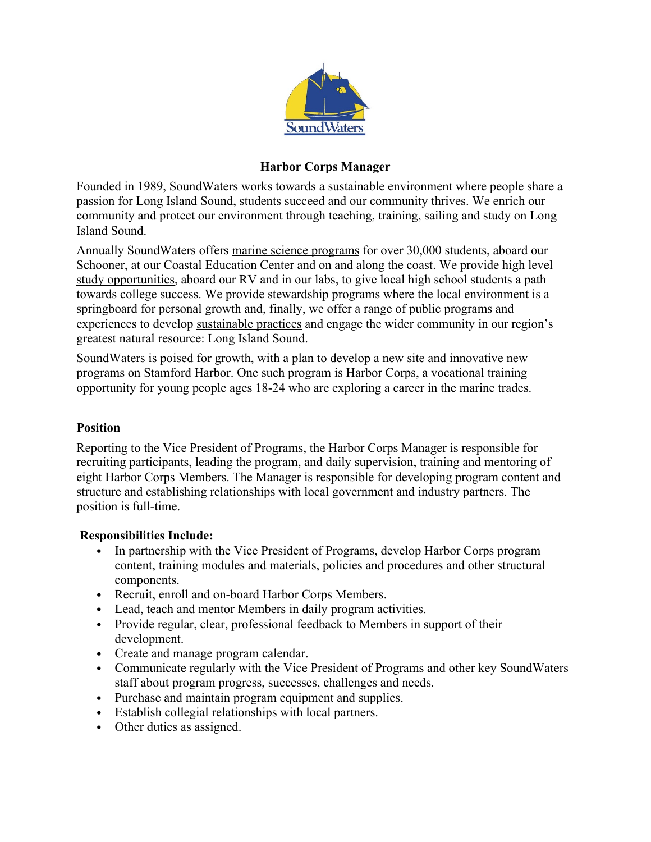

# **Harbor Corps Manager**

Founded in 1989, SoundWaters works towards a sustainable environment where people share a passion for Long Island Sound, students succeed and our community thrives. We enrich our community and protect our environment through teaching, training, sailing and study on Long Island Sound.

Annually SoundWaters offers marine science programs for over 30,000 students, aboard our Schooner, at our Coastal Education Center and on and along the coast. We provide high level study opportunities, aboard our RV and in our labs, to give local high school students a path towards college success. We provide stewardship programs where the local environment is a springboard for personal growth and, finally, we offer a range of public programs and experiences to develop sustainable practices and engage the wider community in our region's greatest natural resource: Long Island Sound.

SoundWaters is poised for growth, with a plan to develop a new site and innovative new programs on Stamford Harbor. One such program is Harbor Corps, a vocational training opportunity for young people ages 18-24 who are exploring a career in the marine trades.

## **Position**

Reporting to the Vice President of Programs, the Harbor Corps Manager is responsible for recruiting participants, leading the program, and daily supervision, training and mentoring of eight Harbor Corps Members. The Manager is responsible for developing program content and structure and establishing relationships with local government and industry partners. The position is full-time.

## **Responsibilities Include:**

- In partnership with the Vice President of Programs, develop Harbor Corps program content, training modules and materials, policies and procedures and other structural components.
- Recruit, enroll and on-board Harbor Corps Members.
- Lead, teach and mentor Members in daily program activities.
- Provide regular, clear, professional feedback to Members in support of their development.
- Create and manage program calendar.
- Communicate regularly with the Vice President of Programs and other key SoundWaters staff about program progress, successes, challenges and needs.
- Purchase and maintain program equipment and supplies.
- Establish collegial relationships with local partners.
- Other duties as assigned.